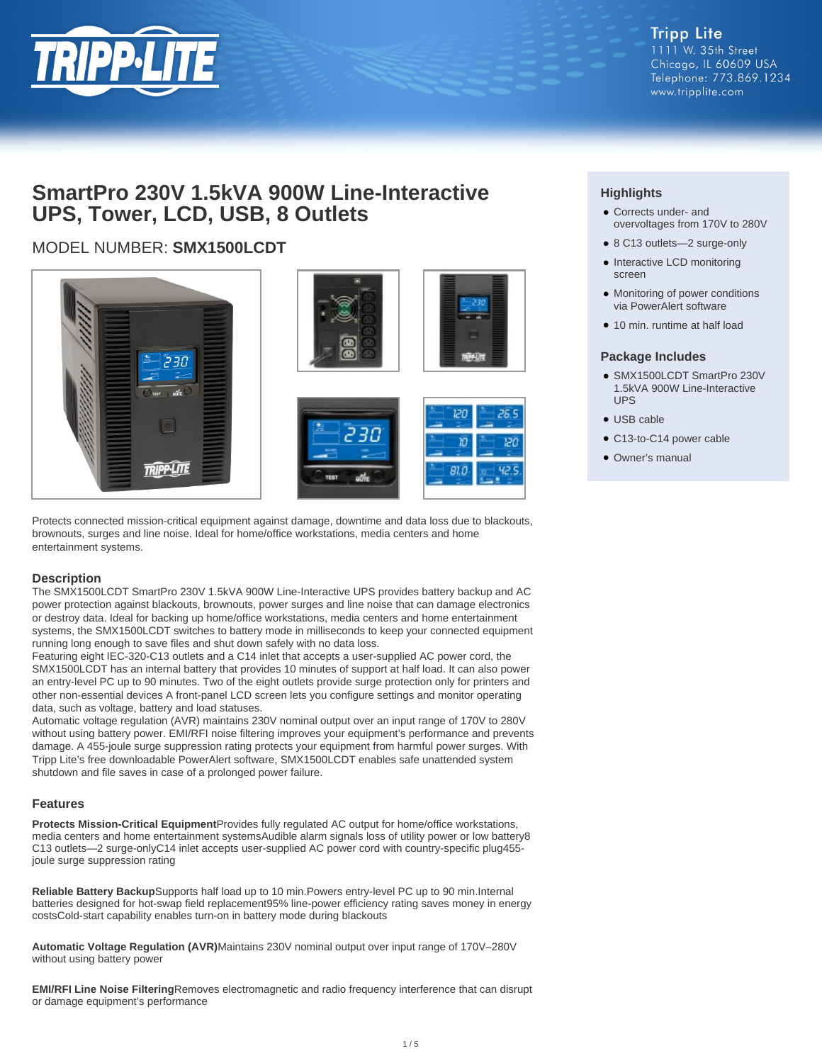

# **SmartPro 230V 1.5kVA 900W Line-Interactive UPS, Tower, LCD, USB, 8 Outlets**

## MODEL NUMBER: **SMX1500LCDT**



Protects connected mission-critical equipment against damage, downtime and data loss due to blackouts, brownouts, surges and line noise. Ideal for home/office workstations, media centers and home entertainment systems.

#### **Description**

The SMX1500LCDT SmartPro 230V 1.5kVA 900W Line-Interactive UPS provides battery backup and AC power protection against blackouts, brownouts, power surges and line noise that can damage electronics or destroy data. Ideal for backing up home/office workstations, media centers and home entertainment systems, the SMX1500LCDT switches to battery mode in milliseconds to keep your connected equipment running long enough to save files and shut down safely with no data loss.

Featuring eight IEC-320-C13 outlets and a C14 inlet that accepts a user-supplied AC power cord, the SMX1500LCDT has an internal battery that provides 10 minutes of support at half load. It can also power an entry-level PC up to 90 minutes. Two of the eight outlets provide surge protection only for printers and other non-essential devices A front-panel LCD screen lets you configure settings and monitor operating data, such as voltage, battery and load statuses.

Automatic voltage regulation (AVR) maintains 230V nominal output over an input range of 170V to 280V without using battery power. EMI/RFI noise filtering improves your equipment's performance and prevents damage. A 455-joule surge suppression rating protects your equipment from harmful power surges. With Tripp Lite's free downloadable PowerAlert software, SMX1500LCDT enables safe unattended system shutdown and file saves in case of a prolonged power failure.

#### **Features**

**Protects Mission-Critical Equipment**Provides fully regulated AC output for home/office workstations, media centers and home entertainment systemsAudible alarm signals loss of utility power or low battery8 C13 outlets—2 surge-onlyC14 inlet accepts user-supplied AC power cord with country-specific plug455 joule surge suppression rating

**Reliable Battery Backup**Supports half load up to 10 min.Powers entry-level PC up to 90 min.Internal batteries designed for hot-swap field replacement95% line-power efficiency rating saves money in energy costsCold-start capability enables turn-on in battery mode during blackouts

**Automatic Voltage Regulation (AVR)**Maintains 230V nominal output over input range of 170V–280V without using battery power

**EMI/RFI Line Noise Filtering**Removes electromagnetic and radio frequency interference that can disrupt or damage equipment's performance

### **Highlights**

- Corrects under- and overvoltages from 170V to 280V
- 8 C13 outlets-2 surge-only
- Interactive LCD monitoring screen
- Monitoring of power conditions via PowerAlert software
- 10 min. runtime at half load

#### **Package Includes**

- SMX1500LCDT SmartPro 230V 1.5kVA 900W Line-Interactive UPS
- USB cable
- C13-to-C14 power cable
- Owner's manual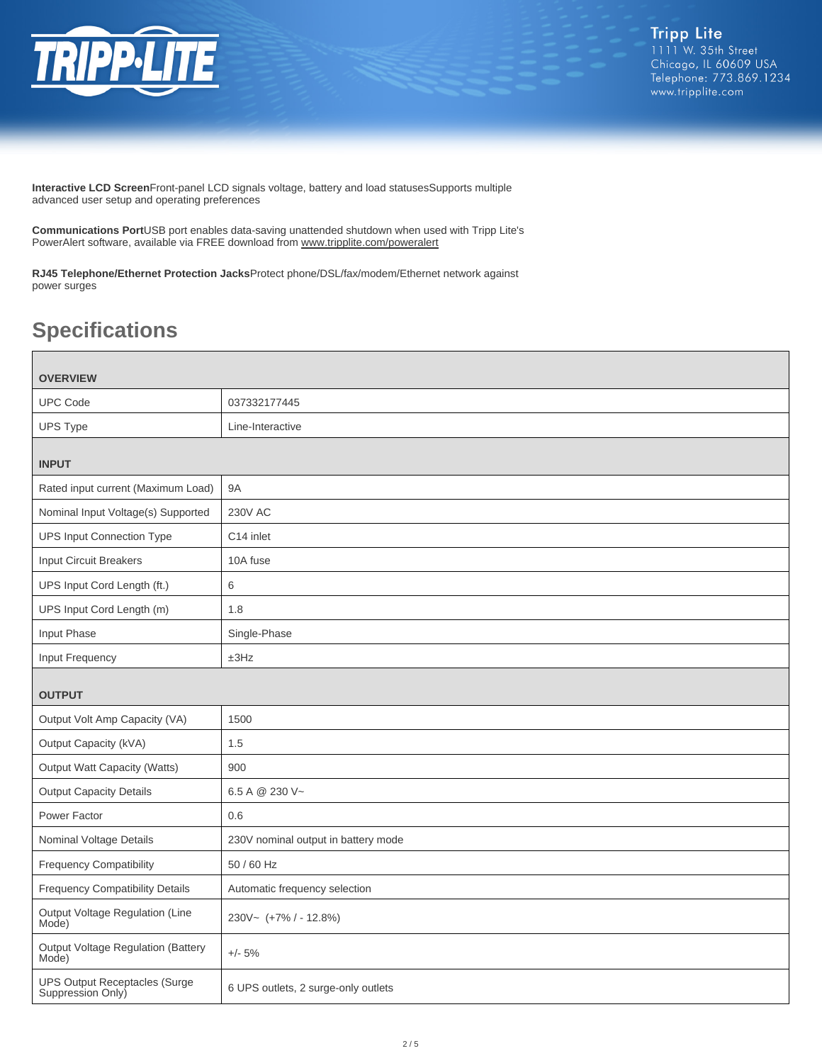

**Interactive LCD Screen**Front-panel LCD signals voltage, battery and load statusesSupports multiple advanced user setup and operating preferences

**Communications Port**USB port enables data-saving unattended shutdown when used with Tripp Lite's PowerAlert software, available via FREE download from [www.tripplite.com/poweralert](https://www.tripplite.com/poweralert)

**RJ45 Telephone/Ethernet Protection Jacks**Protect phone/DSL/fax/modem/Ethernet network against power surges

# **Specifications**

| <b>OVERVIEW</b>                                           |                                     |  |
|-----------------------------------------------------------|-------------------------------------|--|
| <b>UPC Code</b>                                           | 037332177445                        |  |
| UPS Type                                                  | Line-Interactive                    |  |
| <b>INPUT</b>                                              |                                     |  |
| Rated input current (Maximum Load)                        | <b>9A</b>                           |  |
| Nominal Input Voltage(s) Supported                        | <b>230V AC</b>                      |  |
| <b>UPS Input Connection Type</b>                          | C14 inlet                           |  |
| <b>Input Circuit Breakers</b>                             | 10A fuse                            |  |
| UPS Input Cord Length (ft.)                               | 6                                   |  |
| UPS Input Cord Length (m)                                 | 1.8                                 |  |
| Input Phase                                               | Single-Phase                        |  |
| Input Frequency                                           | ±3Hz                                |  |
| <b>OUTPUT</b>                                             |                                     |  |
| Output Volt Amp Capacity (VA)                             | 1500                                |  |
| Output Capacity (kVA)                                     | 1.5                                 |  |
| <b>Output Watt Capacity (Watts)</b>                       | 900                                 |  |
| <b>Output Capacity Details</b>                            | 6.5 A @ 230 V~                      |  |
| Power Factor                                              | 0.6                                 |  |
| Nominal Voltage Details                                   | 230V nominal output in battery mode |  |
| <b>Frequency Compatibility</b>                            | 50 / 60 Hz                          |  |
| <b>Frequency Compatibility Details</b>                    | Automatic frequency selection       |  |
| Output Voltage Regulation (Line<br>Mode)                  | 230V~ (+7% / - 12.8%)               |  |
| <b>Output Voltage Regulation (Battery</b><br>Mode)        | $+/- 5%$                            |  |
| <b>UPS Output Receptacles (Surge</b><br>Suppression Only) | 6 UPS outlets, 2 surge-only outlets |  |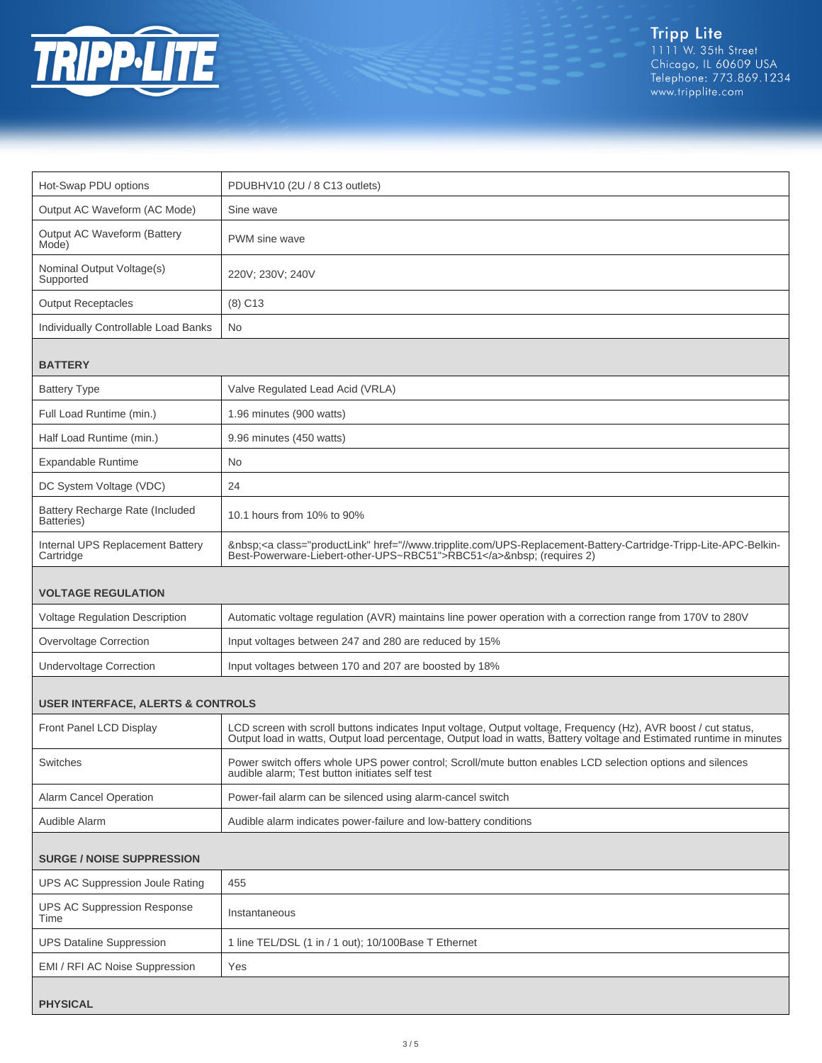

| Hot-Swap PDU options                          | PDUBHV10 (2U / 8 C13 outlets)                                                                                                                                                                                                           |  |
|-----------------------------------------------|-----------------------------------------------------------------------------------------------------------------------------------------------------------------------------------------------------------------------------------------|--|
| Output AC Waveform (AC Mode)                  | Sine wave                                                                                                                                                                                                                               |  |
| Output AC Waveform (Battery<br>Mode)          | PWM sine wave                                                                                                                                                                                                                           |  |
| Nominal Output Voltage(s)<br>Supported        | 220V; 230V; 240V                                                                                                                                                                                                                        |  |
| <b>Output Receptacles</b>                     | $(8)$ C <sub>13</sub>                                                                                                                                                                                                                   |  |
| Individually Controllable Load Banks          | No.                                                                                                                                                                                                                                     |  |
| <b>BATTERY</b>                                |                                                                                                                                                                                                                                         |  |
| <b>Battery Type</b>                           | Valve Regulated Lead Acid (VRLA)                                                                                                                                                                                                        |  |
| Full Load Runtime (min.)                      | 1.96 minutes (900 watts)                                                                                                                                                                                                                |  |
| Half Load Runtime (min.)                      | 9.96 minutes (450 watts)                                                                                                                                                                                                                |  |
| <b>Expandable Runtime</b>                     | No.                                                                                                                                                                                                                                     |  |
| DC System Voltage (VDC)                       | 24                                                                                                                                                                                                                                      |  |
| Battery Recharge Rate (Included<br>Batteries) | 10.1 hours from 10% to 90%                                                                                                                                                                                                              |  |
| Internal UPS Replacement Battery<br>Cartridge | <a class="productLink" href="//www.tripplite.com/UPS-Replacement-Battery-Cartridge-Tripp-Lite-APC-Belkin-&lt;br&gt;Best-Powerware-Liebert-other-UPS~RBC51">RBC51</a> (requires 2)                                                       |  |
| <b>VOLTAGE REGULATION</b>                     |                                                                                                                                                                                                                                         |  |
| Voltage Regulation Description                | Automatic voltage regulation (AVR) maintains line power operation with a correction range from 170V to 280V                                                                                                                             |  |
| Overvoltage Correction                        | Input voltages between 247 and 280 are reduced by 15%                                                                                                                                                                                   |  |
| <b>Undervoltage Correction</b>                | Input voltages between 170 and 207 are boosted by 18%                                                                                                                                                                                   |  |
| <b>USER INTERFACE, ALERTS &amp; CONTROLS</b>  |                                                                                                                                                                                                                                         |  |
| Front Panel LCD Display                       | LCD screen with scroll buttons indicates Input voltage, Output voltage, Frequency (Hz), AVR boost / cut status,<br>Output load in watts, Output load percentage, Output load in watts, Battery voltage and Estimated runtime in minutes |  |
| Switches                                      | Power switch offers whole UPS power control; Scroll/mute button enables LCD selection options and silences<br>audible alarm; Test button initiates self test                                                                            |  |
| Alarm Cancel Operation                        | Power-fail alarm can be silenced using alarm-cancel switch                                                                                                                                                                              |  |
| Audible Alarm                                 | Audible alarm indicates power-failure and low-battery conditions                                                                                                                                                                        |  |
| <b>SURGE / NOISE SUPPRESSION</b>              |                                                                                                                                                                                                                                         |  |
| UPS AC Suppression Joule Rating               | 455                                                                                                                                                                                                                                     |  |
| <b>UPS AC Suppression Response</b><br>Time    | Instantaneous                                                                                                                                                                                                                           |  |
| <b>UPS Dataline Suppression</b>               | 1 line TEL/DSL (1 in / 1 out); 10/100Base T Ethernet                                                                                                                                                                                    |  |
| EMI / RFI AC Noise Suppression                | Yes                                                                                                                                                                                                                                     |  |
| <b>PHYSICAL</b>                               |                                                                                                                                                                                                                                         |  |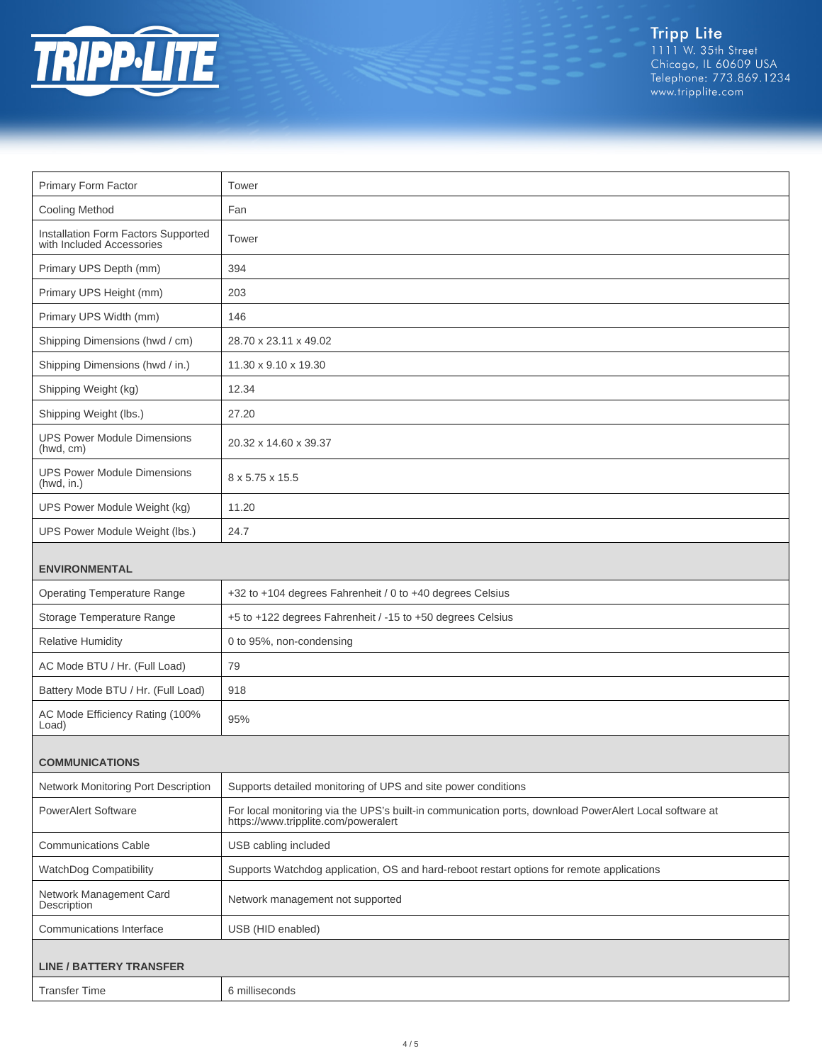

Tripp Lite<br>1111 W. 35th Street<br>Chicago, IL 60609 USA<br>Telephone: 773.869.1234<br>www.tripplite.com

| Primary Form Factor                                              | Tower                                                                                                                                          |  |
|------------------------------------------------------------------|------------------------------------------------------------------------------------------------------------------------------------------------|--|
| <b>Cooling Method</b>                                            | Fan                                                                                                                                            |  |
| Installation Form Factors Supported<br>with Included Accessories | Tower                                                                                                                                          |  |
| Primary UPS Depth (mm)                                           | 394                                                                                                                                            |  |
| Primary UPS Height (mm)                                          | 203                                                                                                                                            |  |
| Primary UPS Width (mm)                                           | 146                                                                                                                                            |  |
| Shipping Dimensions (hwd / cm)                                   | 28.70 x 23.11 x 49.02                                                                                                                          |  |
| Shipping Dimensions (hwd / in.)                                  | 11.30 x 9.10 x 19.30                                                                                                                           |  |
| Shipping Weight (kg)                                             | 12.34                                                                                                                                          |  |
| Shipping Weight (lbs.)                                           | 27.20                                                                                                                                          |  |
| <b>UPS Power Module Dimensions</b><br>(hwd, cm)                  | 20.32 x 14.60 x 39.37                                                                                                                          |  |
| <b>UPS Power Module Dimensions</b><br>(hwd, in.)                 | 8 x 5.75 x 15.5                                                                                                                                |  |
| UPS Power Module Weight (kg)                                     | 11.20                                                                                                                                          |  |
| UPS Power Module Weight (lbs.)                                   | 24.7                                                                                                                                           |  |
| <b>ENVIRONMENTAL</b>                                             |                                                                                                                                                |  |
| <b>Operating Temperature Range</b>                               | +32 to +104 degrees Fahrenheit / 0 to +40 degrees Celsius                                                                                      |  |
| Storage Temperature Range                                        | +5 to +122 degrees Fahrenheit / -15 to +50 degrees Celsius                                                                                     |  |
| <b>Relative Humidity</b>                                         | 0 to 95%, non-condensing                                                                                                                       |  |
| AC Mode BTU / Hr. (Full Load)                                    | 79                                                                                                                                             |  |
| Battery Mode BTU / Hr. (Full Load)                               | 918                                                                                                                                            |  |
| AC Mode Efficiency Rating (100%<br>Load)                         | 95%                                                                                                                                            |  |
| <b>COMMUNICATIONS</b>                                            |                                                                                                                                                |  |
| Network Monitoring Port Description                              | Supports detailed monitoring of UPS and site power conditions                                                                                  |  |
| <b>PowerAlert Software</b>                                       | For local monitoring via the UPS's built-in communication ports, download PowerAlert Local software at<br>https://www.tripplite.com/poweralert |  |
| <b>Communications Cable</b>                                      | USB cabling included                                                                                                                           |  |
| WatchDog Compatibility                                           | Supports Watchdog application, OS and hard-reboot restart options for remote applications                                                      |  |
| Network Management Card<br>Description                           | Network management not supported                                                                                                               |  |
| Communications Interface                                         | USB (HID enabled)                                                                                                                              |  |
| <b>LINE / BATTERY TRANSFER</b>                                   |                                                                                                                                                |  |
| <b>Transfer Time</b>                                             | 6 milliseconds                                                                                                                                 |  |